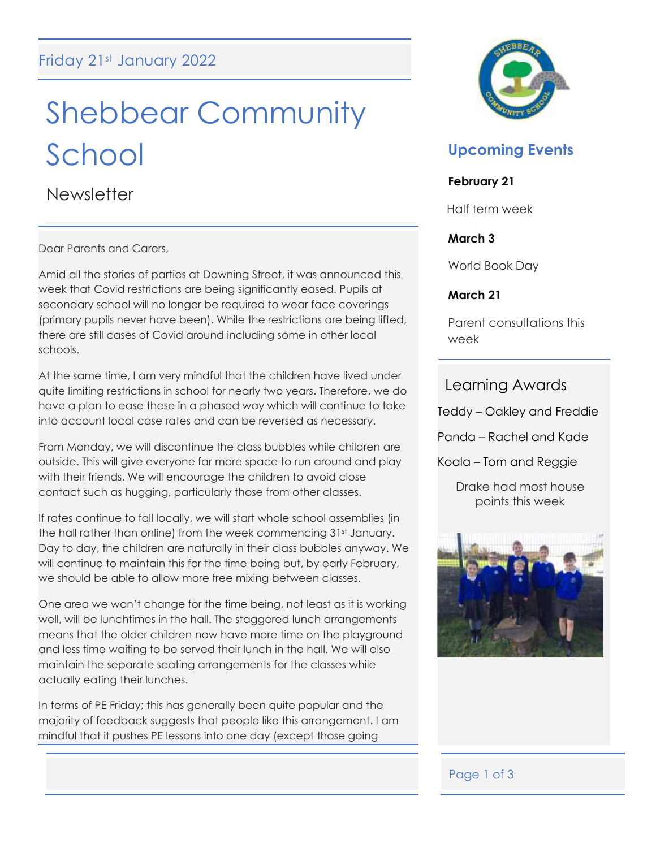# Shebbear Community School

**Newsletter** 

Dear Parents and Carers,

Amid all the stories of parties at Downing Street, it was announced this week that Covid restrictions are being significantly eased. Pupils at secondary school will no longer be required to wear face coverings (primary pupils never have been). While the restrictions are being lifted, there are still cases of Covid around including some in other local schools.

At the same time, I am very mindful that the children have lived under quite limiting restrictions in school for nearly two years. Therefore, we do have a plan to ease these in a phased way which will continue to take into account local case rates and can be reversed as necessary.

From Monday, we will discontinue the class bubbles while children are outside. This will give everyone far more space to run around and play with their friends. We will encourage the children to avoid close contact such as hugging, particularly those from other classes.

If rates continue to fall locally, we will start whole school assemblies (in the hall rather than online) from the week commencing 31st January. Day to day, the children are naturally in their class bubbles anyway. We will continue to maintain this for the time being but, by early February, we should be able to allow more free mixing between classes.

One area we won't change for the time being, not least as it is working well, will be lunchtimes in the hall. The staggered lunch arrangements means that the older children now have more time on the playground and less time waiting to be served their lunch in the hall. We will also maintain the separate seating arrangements for the classes while actually eating their lunches.

In terms of PE Friday; this has generally been quite popular and the majority of feedback suggests that people like this arrangement. I am mindful that it pushes PE lessons into one day (except those going



## **Upcoming Events**

### **February 21**

Half term week

### **March 3**

World Book Day

### **March 21**

Parent consultations this week

### Learning Awards

- Teddy Oakley and Freddie
- Panda Rachel and Kade
- Koala Tom and Reggie

Drake had most house points this week



### Page 1 of 3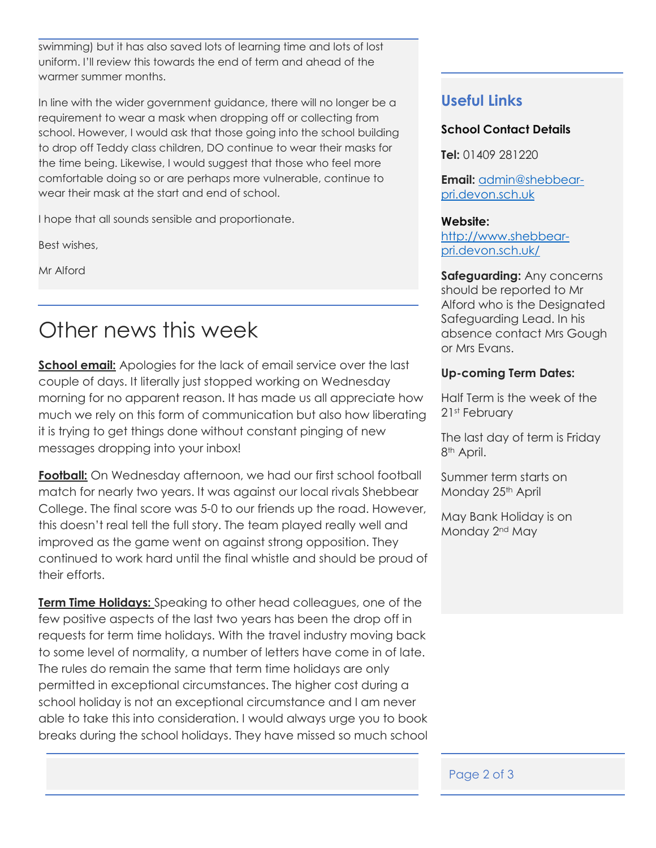swimming) but it has also saved lots of learning time and lots of lost uniform. I'll review this towards the end of term and ahead of the warmer summer months.

In line with the wider government guidance, there will no longer be a requirement to wear a mask when dropping off or collecting from school. However, I would ask that those going into the school building to drop off Teddy class children, DO continue to wear their masks for the time being. Likewise, I would suggest that those who feel more comfortable doing so or are perhaps more vulnerable, continue to wear their mask at the start and end of school.

I hope that all sounds sensible and proportionate.

Best wishes,

Mr Alford

# Other news this week

**<u>School email:</u>** Apologies for the lack of email service over the last couple of days. It literally just stopped working on Wednesday morning for no apparent reason. It has made us all appreciate how much we rely on this form of communication but also how liberating it is trying to get things done without constant pinging of new messages dropping into your inbox!

**Football:** On Wednesday afternoon, we had our first school football match for nearly two years. It was against our local rivals Shebbear College. The final score was 5-0 to our friends up the road. However, this doesn't real tell the full story. The team played really well and improved as the game went on against strong opposition. They continued to work hard until the final whistle and should be proud of their efforts.

**Term Time Holidays:** Speaking to other head colleagues, one of the few positive aspects of the last two years has been the drop off in requests for term time holidays. With the travel industry moving back to some level of normality, a number of letters have come in of late. The rules do remain the same that term time holidays are only permitted in exceptional circumstances. The higher cost during a school holiday is not an exceptional circumstance and I am never able to take this into consideration. I would always urge you to book breaks during the school holidays. They have missed so much school

### **Useful Links**

### **School Contact Details**

**Tel:** 01409 281220

**Email:** [admin@shebbear](mailto:admin@shebbear-pri.devon.sch.uk)[pri.devon.sch.uk](mailto:admin@shebbear-pri.devon.sch.uk)

#### **Website:**

[http://www.shebbear](http://www.shebbear-pri.devon.sch.uk/)[pri.devon.sch.uk/](http://www.shebbear-pri.devon.sch.uk/)

**Safeguarding:** Any concerns should be reported to Mr Alford who is the Designated Safeguarding Lead. In his absence contact Mrs Gough or Mrs Evans.

### **Up-coming Term Dates:**

Half Term is the week of the 21st February

The last day of term is Friday 8<sup>th</sup> April.

Summer term starts on Monday 25<sup>th</sup> April

May Bank Holiday is on Monday 2nd May

### Page 2 of 3